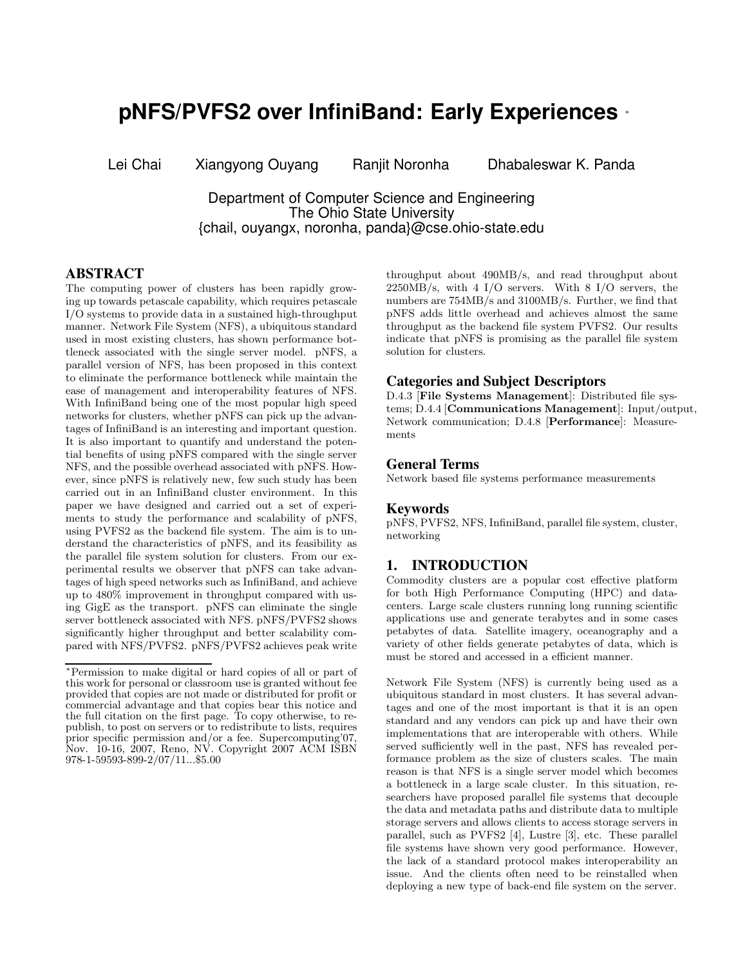# **pNFS/PVFS2 over InfiniBand: Early Experiences** <sup>∗</sup>

Lei Chai Xiangyong Ouyang Ranjit Noronha Dhabaleswar K. Panda

Department of Computer Science and Engineering The Ohio State University {chail, ouyangx, noronha, panda}@cse.ohio-state.edu

## **ABSTRACT**

The computing power of clusters has been rapidly growing up towards petascale capability, which requires petascale I/O systems to provide data in a sustained high-throughput manner. Network File System (NFS), a ubiquitous standard used in most existing clusters, has shown performance bottleneck associated with the single server model. pNFS, a parallel version of NFS, has been proposed in this context to eliminate the performance bottleneck while maintain the ease of management and interoperability features of NFS. With InfiniBand being one of the most popular high speed networks for clusters, whether pNFS can pick up the advantages of InfiniBand is an interesting and important question. It is also important to quantify and understand the potential benefits of using pNFS compared with the single server NFS, and the possible overhead associated with pNFS. However, since pNFS is relatively new, few such study has been carried out in an InfiniBand cluster environment. In this paper we have designed and carried out a set of experiments to study the performance and scalability of pNFS, using PVFS2 as the backend file system. The aim is to understand the characteristics of pNFS, and its feasibility as the parallel file system solution for clusters. From our experimental results we observer that pNFS can take advantages of high speed networks such as InfiniBand, and achieve up to 480% improvement in throughput compared with using GigE as the transport. pNFS can eliminate the single server bottleneck associated with NFS. pNFS/PVFS2 shows significantly higher throughput and better scalability compared with NFS/PVFS2. pNFS/PVFS2 achieves peak write throughput about 490MB/s, and read throughput about 2250MB/s, with 4 I/O servers. With 8 I/O servers, the numbers are 754MB/s and 3100MB/s. Further, we find that pNFS adds little overhead and achieves almost the same throughput as the backend file system PVFS2. Our results indicate that pNFS is promising as the parallel file system solution for clusters.

#### **Categories and Subject Descriptors**

D.4.3 [File Systems Management]: Distributed file systems; D.4.4 [Communications Management]: Input/output, Network communication; D.4.8 [Performance]: Measurements

#### **General Terms**

Network based file systems performance measurements

#### **Keywords**

pNFS, PVFS2, NFS, InfiniBand, parallel file system, cluster, networking

#### **1. INTRODUCTION**

Commodity clusters are a popular cost effective platform for both High Performance Computing (HPC) and datacenters. Large scale clusters running long running scientific applications use and generate terabytes and in some cases petabytes of data. Satellite imagery, oceanography and a variety of other fields generate petabytes of data, which is must be stored and accessed in a efficient manner.

Network File System (NFS) is currently being used as a ubiquitous standard in most clusters. It has several advantages and one of the most important is that it is an open standard and any vendors can pick up and have their own implementations that are interoperable with others. While served sufficiently well in the past, NFS has revealed performance problem as the size of clusters scales. The main reason is that NFS is a single server model which becomes a bottleneck in a large scale cluster. In this situation, researchers have proposed parallel file systems that decouple the data and metadata paths and distribute data to multiple storage servers and allows clients to access storage servers in parallel, such as PVFS2 [4], Lustre [3], etc. These parallel file systems have shown very good performance. However, the lack of a standard protocol makes interoperability an issue. And the clients often need to be reinstalled when deploying a new type of back-end file system on the server.

<sup>∗</sup>Permission to make digital or hard copies of all or part of this work for personal or classroom use is granted without fee provided that copies are not made or distributed for profit or commercial advantage and that copies bear this notice and the full citation on the first page. To copy otherwise, to republish, to post on servers or to redistribute to lists, requires prior specific permission and/or a fee. Supercomputing'07, Nov. 10-16, 2007, Reno, NV. Copyright 2007 ACM ISBN 978-1-59593-899-2/07/11...\$5.00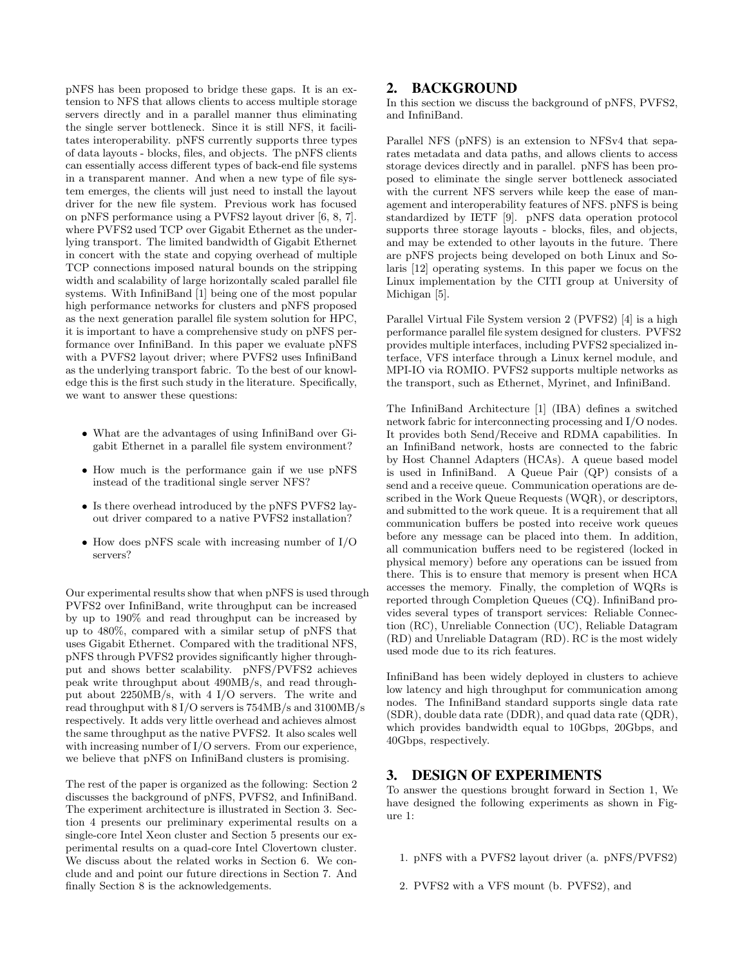pNFS has been proposed to bridge these gaps. It is an extension to NFS that allows clients to access multiple storage servers directly and in a parallel manner thus eliminating the single server bottleneck. Since it is still NFS, it facilitates interoperability. pNFS currently supports three types of data layouts - blocks, files, and objects. The pNFS clients can essentially access different types of back-end file systems in a transparent manner. And when a new type of file system emerges, the clients will just need to install the layout driver for the new file system. Previous work has focused on pNFS performance using a PVFS2 layout driver [6, 8, 7]. where PVFS2 used TCP over Gigabit Ethernet as the underlying transport. The limited bandwidth of Gigabit Ethernet in concert with the state and copying overhead of multiple TCP connections imposed natural bounds on the stripping width and scalability of large horizontally scaled parallel file systems. With InfiniBand [1] being one of the most popular high performance networks for clusters and pNFS proposed as the next generation parallel file system solution for HPC, it is important to have a comprehensive study on pNFS performance over InfiniBand. In this paper we evaluate pNFS with a PVFS2 layout driver; where PVFS2 uses InfiniBand as the underlying transport fabric. To the best of our knowledge this is the first such study in the literature. Specifically, we want to answer these questions:

- What are the advantages of using InfiniBand over Gigabit Ethernet in a parallel file system environment?
- How much is the performance gain if we use pNFS instead of the traditional single server NFS?
- Is there overhead introduced by the pNFS PVFS2 layout driver compared to a native PVFS2 installation?
- How does pNFS scale with increasing number of I/O servers?

Our experimental results show that when pNFS is used through PVFS2 over InfiniBand, write throughput can be increased by up to 190% and read throughput can be increased by up to 480%, compared with a similar setup of pNFS that uses Gigabit Ethernet. Compared with the traditional NFS, pNFS through PVFS2 provides significantly higher throughput and shows better scalability. pNFS/PVFS2 achieves peak write throughput about 490MB/s, and read throughput about 2250MB/s, with 4 I/O servers. The write and read throughput with 8 I/O servers is 754MB/s and 3100MB/s respectively. It adds very little overhead and achieves almost the same throughput as the native PVFS2. It also scales well with increasing number of I/O servers. From our experience, we believe that pNFS on InfiniBand clusters is promising.

The rest of the paper is organized as the following: Section 2 discusses the background of pNFS, PVFS2, and InfiniBand. The experiment architecture is illustrated in Section 3. Section 4 presents our preliminary experimental results on a single-core Intel Xeon cluster and Section 5 presents our experimental results on a quad-core Intel Clovertown cluster. We discuss about the related works in Section 6. We conclude and and point our future directions in Section 7. And finally Section 8 is the acknowledgements.

### **2. BACKGROUND**

In this section we discuss the background of pNFS, PVFS2, and InfiniBand.

Parallel NFS (pNFS) is an extension to NFSv4 that separates metadata and data paths, and allows clients to access storage devices directly and in parallel. pNFS has been proposed to eliminate the single server bottleneck associated with the current NFS servers while keep the ease of management and interoperability features of NFS. pNFS is being standardized by IETF [9]. pNFS data operation protocol supports three storage layouts - blocks, files, and objects, and may be extended to other layouts in the future. There are pNFS projects being developed on both Linux and Solaris [12] operating systems. In this paper we focus on the Linux implementation by the CITI group at University of Michigan [5].

Parallel Virtual File System version 2 (PVFS2) [4] is a high performance parallel file system designed for clusters. PVFS2 provides multiple interfaces, including PVFS2 specialized interface, VFS interface through a Linux kernel module, and MPI-IO via ROMIO. PVFS2 supports multiple networks as the transport, such as Ethernet, Myrinet, and InfiniBand.

The InfiniBand Architecture [1] (IBA) defines a switched network fabric for interconnecting processing and I/O nodes. It provides both Send/Receive and RDMA capabilities. In an InfiniBand network, hosts are connected to the fabric by Host Channel Adapters (HCAs). A queue based model is used in InfiniBand. A Queue Pair (QP) consists of a send and a receive queue. Communication operations are described in the Work Queue Requests (WQR), or descriptors, and submitted to the work queue. It is a requirement that all communication buffers be posted into receive work queues before any message can be placed into them. In addition, all communication buffers need to be registered (locked in physical memory) before any operations can be issued from there. This is to ensure that memory is present when HCA accesses the memory. Finally, the completion of WQRs is reported through Completion Queues (CQ). InfiniBand provides several types of transport services: Reliable Connection (RC), Unreliable Connection (UC), Reliable Datagram (RD) and Unreliable Datagram (RD). RC is the most widely used mode due to its rich features.

InfiniBand has been widely deployed in clusters to achieve low latency and high throughput for communication among nodes. The InfiniBand standard supports single data rate (SDR), double data rate (DDR), and quad data rate (QDR), which provides bandwidth equal to 10Gbps, 20Gbps, and 40Gbps, respectively.

#### **3. DESIGN OF EXPERIMENTS**

To answer the questions brought forward in Section 1, We have designed the following experiments as shown in Figure 1:

- 1. pNFS with a PVFS2 layout driver (a. pNFS/PVFS2)
- 2. PVFS2 with a VFS mount (b. PVFS2), and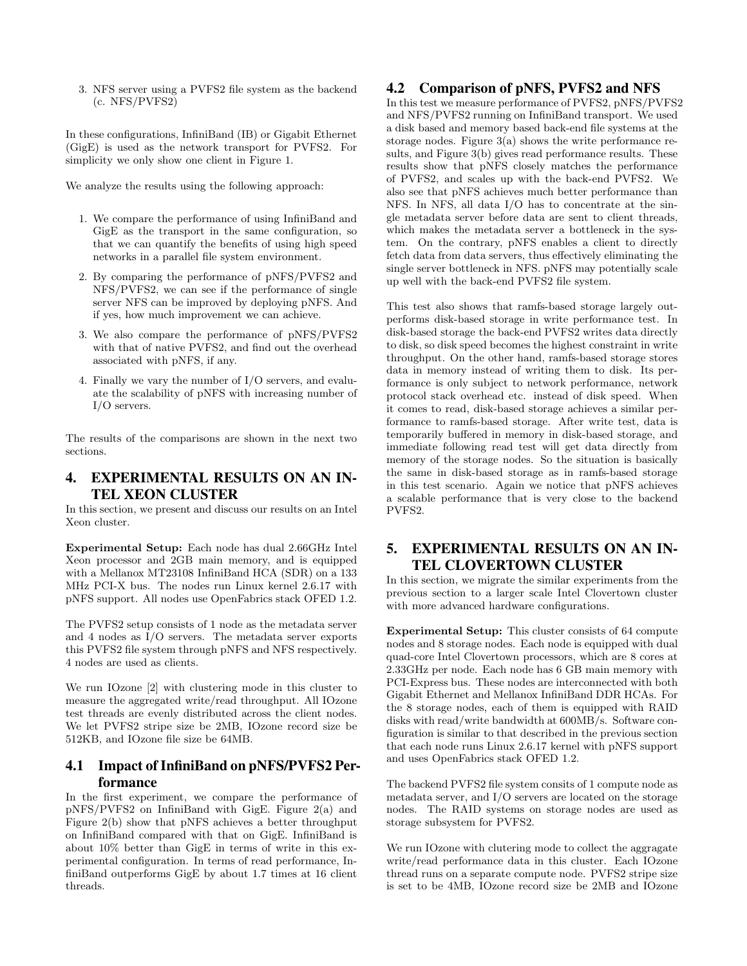3. NFS server using a PVFS2 file system as the backend (c. NFS/PVFS2)

In these configurations, InfiniBand (IB) or Gigabit Ethernet (GigE) is used as the network transport for PVFS2. For simplicity we only show one client in Figure 1.

We analyze the results using the following approach:

- 1. We compare the performance of using InfiniBand and GigE as the transport in the same configuration, so that we can quantify the benefits of using high speed networks in a parallel file system environment.
- 2. By comparing the performance of pNFS/PVFS2 and NFS/PVFS2, we can see if the performance of single server NFS can be improved by deploying pNFS. And if yes, how much improvement we can achieve.
- 3. We also compare the performance of pNFS/PVFS2 with that of native PVFS2, and find out the overhead associated with pNFS, if any.
- 4. Finally we vary the number of I/O servers, and evaluate the scalability of pNFS with increasing number of I/O servers.

The results of the comparisons are shown in the next two sections.

## **4. EXPERIMENTAL RESULTS ON AN IN-TEL XEON CLUSTER**

In this section, we present and discuss our results on an Intel Xeon cluster.

Experimental Setup: Each node has dual 2.66GHz Intel Xeon processor and 2GB main memory, and is equipped with a Mellanox MT23108 InfiniBand HCA (SDR) on a 133 MHz PCI-X bus. The nodes run Linux kernel 2.6.17 with pNFS support. All nodes use OpenFabrics stack OFED 1.2.

The PVFS2 setup consists of 1 node as the metadata server and 4 nodes as I/O servers. The metadata server exports this PVFS2 file system through pNFS and NFS respectively. 4 nodes are used as clients.

We run IOzone [2] with clustering mode in this cluster to measure the aggregated write/read throughput. All IOzone test threads are evenly distributed across the client nodes. We let PVFS2 stripe size be 2MB, IOzone record size be 512KB, and IOzone file size be 64MB.

## **4.1 Impact ofInfiniBand on pNFS/PVFS2 Performance**

In the first experiment, we compare the performance of pNFS/PVFS2 on InfiniBand with GigE. Figure 2(a) and Figure 2(b) show that pNFS achieves a better throughput on InfiniBand compared with that on GigE. InfiniBand is about 10% better than GigE in terms of write in this experimental configuration. In terms of read performance, InfiniBand outperforms GigE by about 1.7 times at 16 client threads.

## **4.2 Comparison of pNFS, PVFS2 and NFS**

In this test we measure performance of PVFS2, pNFS/PVFS2 and NFS/PVFS2 running on InfiniBand transport. We used a disk based and memory based back-end file systems at the storage nodes. Figure 3(a) shows the write performance results, and Figure 3(b) gives read performance results. These results show that pNFS closely matches the performance of PVFS2, and scales up with the back-end PVFS2. We also see that pNFS achieves much better performance than NFS. In NFS, all data I/O has to concentrate at the single metadata server before data are sent to client threads, which makes the metadata server a bottleneck in the system. On the contrary, pNFS enables a client to directly fetch data from data servers, thus effectively eliminating the single server bottleneck in NFS. pNFS may potentially scale up well with the back-end PVFS2 file system.

This test also shows that ramfs-based storage largely outperforms disk-based storage in write performance test. In disk-based storage the back-end PVFS2 writes data directly to disk, so disk speed becomes the highest constraint in write throughput. On the other hand, ramfs-based storage stores data in memory instead of writing them to disk. Its performance is only subject to network performance, network protocol stack overhead etc. instead of disk speed. When it comes to read, disk-based storage achieves a similar performance to ramfs-based storage. After write test, data is temporarily buffered in memory in disk-based storage, and immediate following read test will get data directly from memory of the storage nodes. So the situation is basically the same in disk-based storage as in ramfs-based storage in this test scenario. Again we notice that pNFS achieves a scalable performance that is very close to the backend PVFS2.

# **5. EXPERIMENTAL RESULTS ON AN IN-TEL CLOVERTOWN CLUSTER**

In this section, we migrate the similar experiments from the previous section to a larger scale Intel Clovertown cluster with more advanced hardware configurations.

Experimental Setup: This cluster consists of 64 compute nodes and 8 storage nodes. Each node is equipped with dual quad-core Intel Clovertown processors, which are 8 cores at 2.33GHz per node. Each node has 6 GB main memory with PCI-Express bus. These nodes are interconnected with both Gigabit Ethernet and Mellanox InfiniBand DDR HCAs. For the 8 storage nodes, each of them is equipped with RAID disks with read/write bandwidth at 600MB/s. Software configuration is similar to that described in the previous section that each node runs Linux 2.6.17 kernel with pNFS support and uses OpenFabrics stack OFED 1.2.

The backend PVFS2 file system consits of 1 compute node as metadata server, and I/O servers are located on the storage nodes. The RAID systems on storage nodes are used as storage subsystem for PVFS2.

We run IOzone with clutering mode to collect the aggragate write/read performance data in this cluster. Each IOzone thread runs on a separate compute node. PVFS2 stripe size is set to be 4MB, IOzone record size be 2MB and IOzone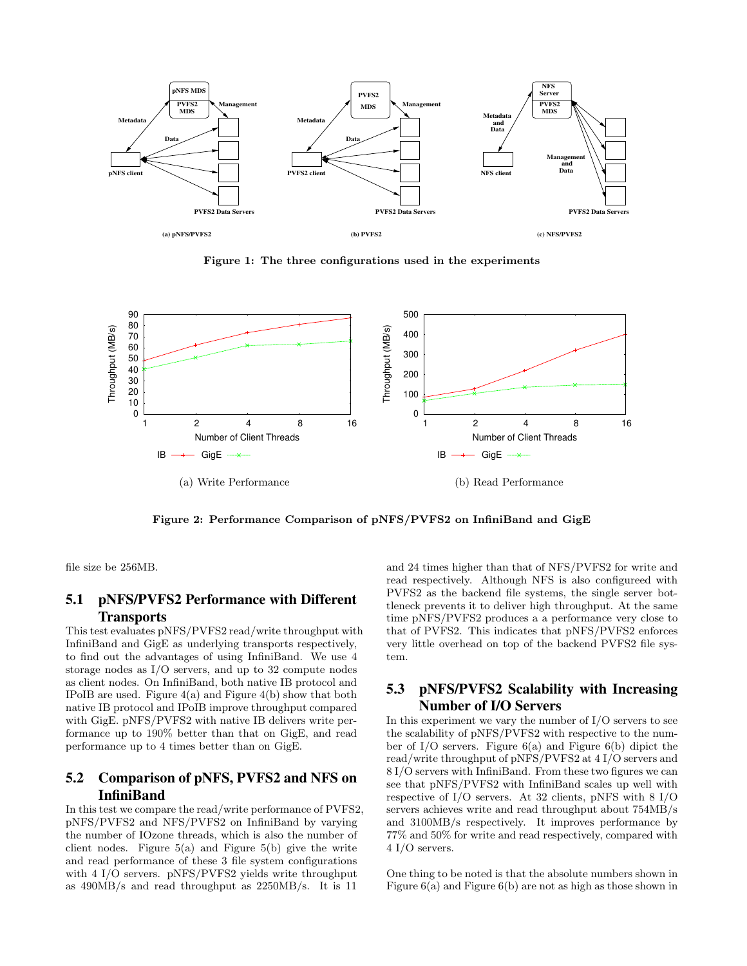

Figure 1: The three configurations used in the experiments



Figure 2: Performance Comparison of pNFS/PVFS2 on InfiniBand and GigE

file size be 256MB.

### **5.1 pNFS/PVFS2 Performance with Different Transports**

This test evaluates pNFS/PVFS2 read/write throughput with InfiniBand and GigE as underlying transports respectively, to find out the advantages of using InfiniBand. We use 4 storage nodes as I/O servers, and up to 32 compute nodes as client nodes. On InfiniBand, both native IB protocol and IPoIB are used. Figure 4(a) and Figure 4(b) show that both native IB protocol and IPoIB improve throughput compared with GigE. pNFS/PVFS2 with native IB delivers write performance up to 190% better than that on GigE, and read performance up to 4 times better than on GigE.

## **5.2 Comparison of pNFS, PVFS2 and NFS on InfiniBand**

In this test we compare the read/write performance of PVFS2, pNFS/PVFS2 and NFS/PVFS2 on InfiniBand by varying the number of IOzone threads, which is also the number of client nodes. Figure  $5(a)$  and Figure  $5(b)$  give the write and read performance of these 3 file system configurations with 4 I/O servers. pNFS/PVFS2 yields write throughput as 490MB/s and read throughput as 2250MB/s. It is 11

and 24 times higher than that of NFS/PVFS2 for write and read respectively. Although NFS is also configureed with PVFS2 as the backend file systems, the single server bottleneck prevents it to deliver high throughput. At the same time pNFS/PVFS2 produces a a performance very close to that of PVFS2. This indicates that pNFS/PVFS2 enforces very little overhead on top of the backend PVFS2 file system.

## **5.3 pNFS/PVFS2 Scalability with Increasing Number of I/O Servers**

In this experiment we vary the number of  $I/O$  servers to see the scalability of pNFS/PVFS2 with respective to the number of I/O servers. Figure 6(a) and Figure 6(b) dipict the read/write throughput of pNFS/PVFS2 at 4 I/O servers and 8 I/O servers with InfiniBand. From these two figures we can see that pNFS/PVFS2 with InfiniBand scales up well with respective of I/O servers. At 32 clients, pNFS with 8 I/O servers achieves write and read throughput about 754MB/s and 3100MB/s respectively. It improves performance by 77% and 50% for write and read respectively, compared with 4 I/O servers.

One thing to be noted is that the absolute numbers shown in Figure 6(a) and Figure 6(b) are not as high as those shown in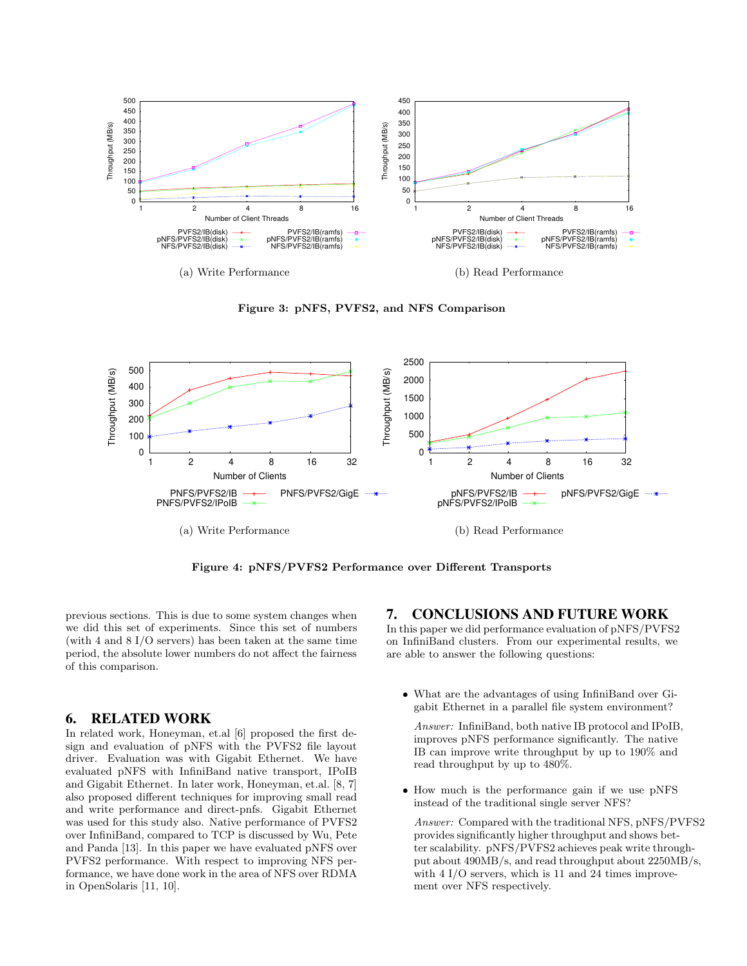

Figure 3: pNFS, PVFS2, and NFS Comparison



Figure 4: pNFS/PVFS2 Performance over Different Transports

previous sections. This is due to some system changes when we did this set of experiments. Since this set of numbers (with 4 and 8 I/O servers) has been taken at the same time period, the absolute lower numbers do not affect the fairness of this comparison.

#### **6. RELATED WORK**

In related work, Honeyman, et.al [6] proposed the first design and evaluation of pNFS with the PVFS2 file layout driver. Evaluation was with Gigabit Ethernet. We have evaluated pNFS with InfiniBand native transport, IPoIB and Gigabit Ethernet. In later work, Honeyman, et.al. [8, 7] also proposed different techniques for improving small read and write performance and direct-pnfs. Gigabit Ethernet was used for this study also. Native performance of PVFS2 over InfiniBand, compared to TCP is discussed by Wu, Pete and Panda [13]. In this paper we have evaluated pNFS over PVFS2 performance. With respect to improving NFS performance, we have done work in the area of NFS over RDMA in OpenSolaris [11, 10].

#### **7. CONCLUSIONS AND FUTURE WORK**

In this paper we did performance evaluation of pNFS/PVFS2 on InfiniBand clusters. From our experimental results, we are able to answer the following questions:

• What are the advantages of using InfiniBand over Gigabit Ethernet in a parallel file system environment?

Answer: InfiniBand, both native IB protocol and IPoIB, improves pNFS performance significantly. The native IB can improve write throughput by up to 190% and read throughput by up to 480%.

• How much is the performance gain if we use pNFS instead of the traditional single server NFS?

Answer: Compared with the traditional NFS, pNFS/PVFS2 provides significantly higher throughput and shows better scalability. pNFS/PVFS2 achieves peak write throughput about 490MB/s, and read throughput about 2250MB/s, with  $4$  I/O servers, which is 11 and 24 times improvement over NFS respectively.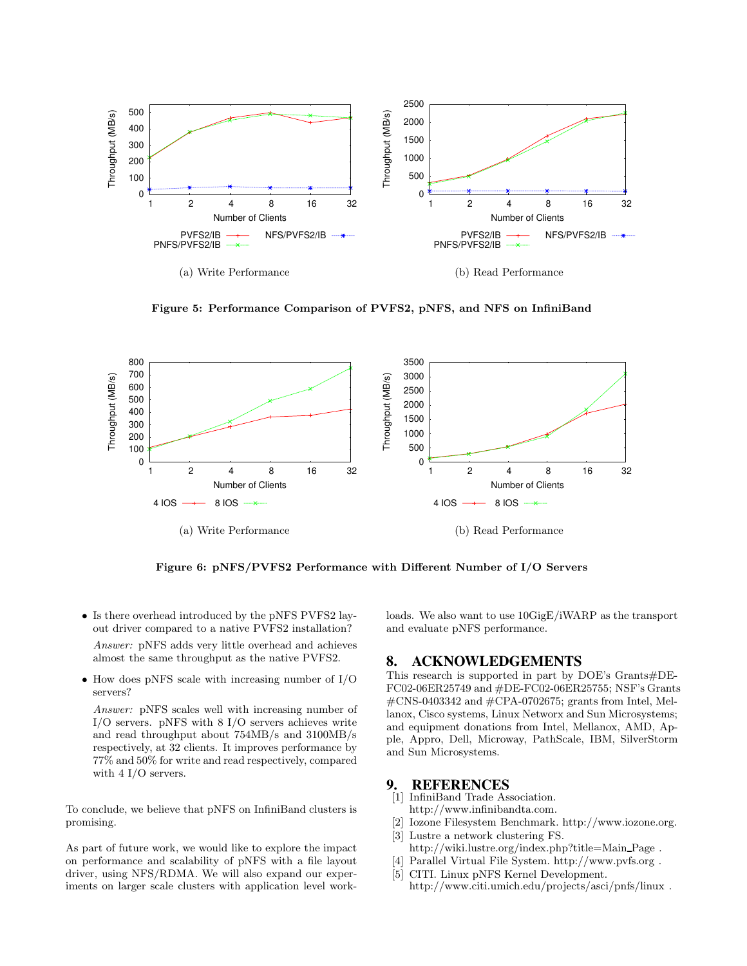

Figure 5: Performance Comparison of PVFS2, pNFS, and NFS on InfiniBand



Figure 6: pNFS/PVFS2 Performance with Different Number of I/O Servers

- Is there overhead introduced by the pNFS PVFS2 layout driver compared to a native PVFS2 installation? Answer: pNFS adds very little overhead and achieves almost the same throughput as the native PVFS2.
- How does pNFS scale with increasing number of I/O servers?

Answer: pNFS scales well with increasing number of I/O servers. pNFS with 8 I/O servers achieves write and read throughput about 754MB/s and 3100MB/s respectively, at 32 clients. It improves performance by 77% and 50% for write and read respectively, compared with 4 I/O servers.

To conclude, we believe that pNFS on InfiniBand clusters is promising.

As part of future work, we would like to explore the impact on performance and scalability of pNFS with a file layout driver, using NFS/RDMA. We will also expand our experiments on larger scale clusters with application level workloads. We also want to use 10GigE/iWARP as the transport and evaluate pNFS performance.

#### **8. ACKNOWLEDGEMENTS**

This research is supported in part by DOE's Grants#DE-FC02-06ER25749 and #DE-FC02-06ER25755; NSF's Grants  $\text{\#CNS-0403342}$  and  $\text{\#CPA-0702675}$ ; grants from Intel, Mellanox, Cisco systems, Linux Networx and Sun Microsystems; and equipment donations from Intel, Mellanox, AMD, Apple, Appro, Dell, Microway, PathScale, IBM, SilverStorm and Sun Microsystems.

# **9. REFERENCES**

- [1] InfiniBand Trade Association. http://www.infinibandta.com.
- [2] Iozone Filesystem Benchmark. http://www.iozone.org.
- [3] Lustre a network clustering FS.
- http://wiki.lustre.org/index.php?title=Main Page .
- [4] Parallel Virtual File System. http://www.pvfs.org .
- [5] CITI. Linux pNFS Kernel Development.
- http://www.citi.umich.edu/projects/asci/pnfs/linux .